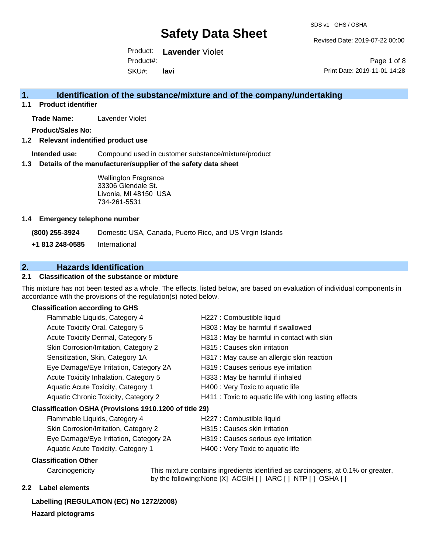Revised Date: 2019-07-22 00:00

Product: **Lavender** Violet SKU#: Product#: **lavi**

Page 1 of 8 Print Date: 2019-11-01 14:28

### **1. Identification of the substance/mixture and of the company/undertaking**

**1.1 Product identifier**

**Trade Name:** Lavender Violet

**Product/Sales No:**

**1.2 Relevant indentified product use**

**Intended use:** Compound used in customer substance/mixture/product

**1.3 Details of the manufacturer/supplier of the safety data sheet**

Wellington Fragrance 33306 Glendale St. Livonia, MI 48150 USA 734-261-5531

#### **1.4 Emergency telephone number**

**(800) 255-3924** Domestic USA, Canada, Puerto Rico, and US Virgin Islands

**+1 813 248-0585** International

### **2. Hazards Identification**

#### **2.1 Classification of the substance or mixture**

This mixture has not been tested as a whole. The effects, listed below, are based on evaluation of individual components in accordance with the provisions of the regulation(s) noted below.

#### **Classification according to GHS**

| Flammable Liquids, Category 4                          | H227 : Combustible liquid                              |  |  |  |
|--------------------------------------------------------|--------------------------------------------------------|--|--|--|
| Acute Toxicity Oral, Category 5                        | H303 : May be harmful if swallowed                     |  |  |  |
| Acute Toxicity Dermal, Category 5                      | H313: May be harmful in contact with skin              |  |  |  |
| Skin Corrosion/Irritation, Category 2                  | H315 : Causes skin irritation                          |  |  |  |
| Sensitization, Skin, Category 1A                       | H317 : May cause an allergic skin reaction             |  |  |  |
| Eye Damage/Eye Irritation, Category 2A                 | H319 : Causes serious eye irritation                   |  |  |  |
| Acute Toxicity Inhalation, Category 5                  | H333: May be harmful if inhaled                        |  |  |  |
| Aquatic Acute Toxicity, Category 1                     | H400 : Very Toxic to aquatic life                      |  |  |  |
| Aquatic Chronic Toxicity, Category 2                   | H411 : Toxic to aquatic life with long lasting effects |  |  |  |
| Classification OSHA (Provisions 1910.1200 of title 29) |                                                        |  |  |  |
| Flammable Liquids, Category 4                          | H227 : Combustible liquid                              |  |  |  |

| Flammable Liquids, Category 4             | H227 : Combustible liquid            |
|-------------------------------------------|--------------------------------------|
| Skin Corrosion/Irritation, Category 2     | H315 : Causes skin irritation        |
| Eye Damage/Eye Irritation, Category 2A    | H319 : Causes serious eye irritation |
| <b>Aquatic Acute Toxicity, Category 1</b> | H400 : Very Toxic to aquatic life    |

#### **Classification Other**

Carcinogenicity This mixture contains ingredients identified as carcinogens, at 0.1% or greater, by the following:None [X] ACGIH [ ] IARC [ ] NTP [ ] OSHA [ ]

#### **2.2 Label elements**

#### **Labelling (REGULATION (EC) No 1272/2008)**

**Hazard pictograms**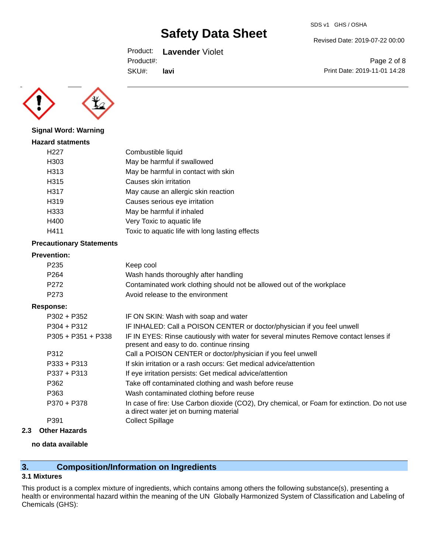Product: **Lavender** Violet

Product#:

SKU#: **lavi** Revised Date: 2019-07-22 00:00

SDS v1 GHS / OSHA

Page 2 of 8 Print Date: 2019-11-01 14:28



**Signal Word: Warning**

| <b>Hazard statments</b> |                                                 |
|-------------------------|-------------------------------------------------|
| H227                    | Combustible liquid                              |
| H303                    | May be harmful if swallowed                     |
| H313                    | May be harmful in contact with skin             |
| H315                    | Causes skin irritation                          |
| H317                    | May cause an allergic skin reaction             |
| H319                    | Causes serious eye irritation                   |
| H333                    | May be harmful if inhaled                       |
| H400                    | Very Toxic to aquatic life                      |
| H411                    | Toxic to aquatic life with long lasting effects |
|                         |                                                 |

#### **Precautionary Statements**

#### **Prevention:**

| P <sub>235</sub>                                     | Keep cool                                                                            |  |  |
|------------------------------------------------------|--------------------------------------------------------------------------------------|--|--|
| P <sub>264</sub>                                     | Wash hands thoroughly after handling                                                 |  |  |
| P <sub>272</sub>                                     | Contaminated work clothing should not be allowed out of the workplace                |  |  |
| Avoid release to the environment<br>P <sub>273</sub> |                                                                                      |  |  |
| Response:                                            |                                                                                      |  |  |
| $P302 + P352$                                        | IF ON SKIN: Wash with soap and water                                                 |  |  |
| $P304 + P312$                                        | IF INHALED: Call a POISON CENTER or doctor/physician if you feel unwell              |  |  |
| P305 + P351 + P338                                   | IF IN EYES: Rinse cautiously with water for several minutes Remove contact lenses if |  |  |
|                                                      |                                                                                      |  |  |

|               | present and easy to do. continue rinsing                                                                                              |
|---------------|---------------------------------------------------------------------------------------------------------------------------------------|
| P312          | Call a POISON CENTER or doctor/physician if you feel unwell                                                                           |
| $P333 + P313$ | If skin irritation or a rash occurs: Get medical advice/attention                                                                     |
| P337 + P313   | If eye irritation persists: Get medical advice/attention                                                                              |
| P362          | Take off contaminated clothing and wash before reuse                                                                                  |
| P363          | Wash contaminated clothing before reuse                                                                                               |
| P370 + P378   | In case of fire: Use Carbon dioxide (CO2), Dry chemical, or Foam for extinction. Do not use<br>a direct water jet on burning material |
| P391          | <b>Collect Spillage</b>                                                                                                               |
|               |                                                                                                                                       |

**2.3 Other Hazards**

#### **no data available**

### **3. Composition/Information on Ingredients**

#### **3.1 Mixtures**

This product is a complex mixture of ingredients, which contains among others the following substance(s), presenting a health or environmental hazard within the meaning of the UN Globally Harmonized System of Classification and Labeling of Chemicals (GHS):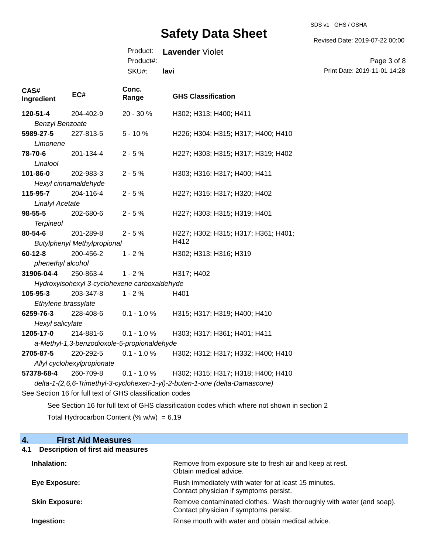SDS v1 GHS / OSHA

Revised Date: 2019-07-22 00:00

#### Product: **Lavender** Violet Product#:

SKU#: **lavi**

Page 3 of 8 Print Date: 2019-11-01 14:28

| CAS#<br>Ingredient                          | EC#                                                                         | Conc.<br>Range | <b>GHS Classification</b>                                                                   |  |  |
|---------------------------------------------|-----------------------------------------------------------------------------|----------------|---------------------------------------------------------------------------------------------|--|--|
| 120-51-4                                    | 204-402-9                                                                   | 20 - 30 %      | H302; H313; H400; H411                                                                      |  |  |
| <b>Benzyl Benzoate</b>                      |                                                                             |                |                                                                                             |  |  |
| 5989-27-5                                   | 227-813-5                                                                   | $5 - 10%$      | H226; H304; H315; H317; H400; H410                                                          |  |  |
| Limonene                                    |                                                                             |                |                                                                                             |  |  |
| 78-70-6                                     | 201-134-4                                                                   | $2 - 5%$       | H227; H303; H315; H317; H319; H402                                                          |  |  |
| Linalool                                    |                                                                             |                |                                                                                             |  |  |
| 101-86-0                                    | 202-983-3                                                                   | $2 - 5%$       | H303; H316; H317; H400; H411                                                                |  |  |
|                                             | Hexyl cinnamaldehyde                                                        |                |                                                                                             |  |  |
| 115-95-7                                    | 204-116-4                                                                   | $2 - 5%$       | H227; H315; H317; H320; H402                                                                |  |  |
| <b>Linalyl Acetate</b>                      |                                                                             |                |                                                                                             |  |  |
| $98 - 55 - 5$                               | 202-680-6                                                                   | $2 - 5%$       | H227; H303; H315; H319; H401                                                                |  |  |
| <b>Terpineol</b>                            |                                                                             |                |                                                                                             |  |  |
| 80-54-6                                     | 201-289-8                                                                   | $2 - 5%$       | H227; H302; H315; H317; H361; H401;                                                         |  |  |
| H412<br><b>Butylphenyl Methylpropional</b>  |                                                                             |                |                                                                                             |  |  |
| $60 - 12 - 8$                               | 200-456-2                                                                   | $1 - 2%$       | H302; H313; H316; H319                                                                      |  |  |
| phenethyl alcohol                           |                                                                             |                |                                                                                             |  |  |
| 31906-04-4                                  | 250-863-4                                                                   | $1 - 2%$       | H317; H402                                                                                  |  |  |
|                                             | Hydroxyisohexyl 3-cyclohexene carboxaldehyde                                |                |                                                                                             |  |  |
| 105-95-3                                    | 203-347-8                                                                   | $1 - 2%$       | H401                                                                                        |  |  |
| Ethylene brassylate                         |                                                                             |                |                                                                                             |  |  |
| 6259-76-3                                   | 228-408-6                                                                   | $0.1 - 1.0 \%$ | H315; H317; H319; H400; H410                                                                |  |  |
| Hexyl salicylate                            |                                                                             |                |                                                                                             |  |  |
| 1205-17-0                                   | 214-881-6                                                                   | $0.1 - 1.0 %$  | H303; H317; H361; H401; H411                                                                |  |  |
| a-Methyl-1,3-benzodioxole-5-propionaldehyde |                                                                             |                |                                                                                             |  |  |
| 2705-87-5                                   | 220-292-5                                                                   | $0.1 - 1.0 %$  | H302; H312; H317; H332; H400; H410                                                          |  |  |
| Allyl cyclohexylpropionate                  |                                                                             |                |                                                                                             |  |  |
| 57378-68-4                                  | 260-709-8                                                                   | $0.1 - 1.0 %$  | H302; H315; H317; H318; H400; H410                                                          |  |  |
|                                             | delta-1-(2,6,6-Trimethyl-3-cyclohexen-1-yl)-2-buten-1-one (delta-Damascone) |                |                                                                                             |  |  |
|                                             | See Section 16 for full text of GHS classification codes                    |                |                                                                                             |  |  |
|                                             |                                                                             |                | See Section 16 for full text of GHS classification codes which where not shown in section 2 |  |  |

Total Hydrocarbon Content (%  $w/w$ ) = 6.19

### **4. First Aid Measures**

### **4.1 Description of first aid measures**

| Inhalation:           | Remove from exposure site to fresh air and keep at rest.<br>Obtain medical advice.                            |
|-----------------------|---------------------------------------------------------------------------------------------------------------|
| Eye Exposure:         | Flush immediately with water for at least 15 minutes.<br>Contact physician if symptoms persist.               |
| <b>Skin Exposure:</b> | Remove contaminated clothes. Wash thoroughly with water (and soap).<br>Contact physician if symptoms persist. |
| Ingestion:            | Rinse mouth with water and obtain medical advice.                                                             |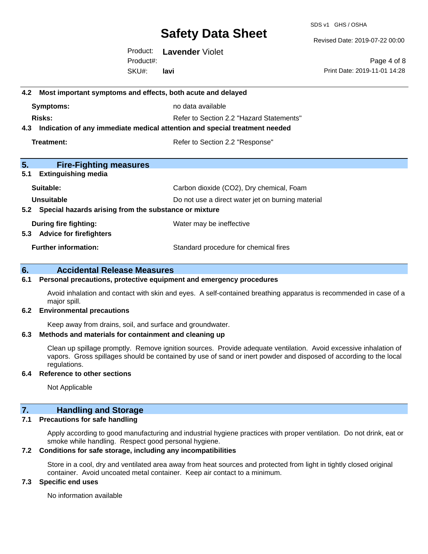SDS v1 GHS / OSHA

Revised Date: 2019-07-22 00:00

Product: **Lavender** Violet SKU#: Product#: **lavi**

Page 4 of 8 Print Date: 2019-11-01 14:28

# **4.2 Most important symptoms and effects, both acute and delayed Symptoms:** no data available **Risks:** Risks: Refer to Section 2.2 "Hazard Statements" **4.3 Indication of any immediate medical attention and special treatment needed Treatment:** Treatment: Treatment: Refer to Section 2.2 "Response" **5. Fire-Fighting measures 5.1 Extinguishing media** Suitable: Carbon dioxide (CO2), Dry chemical, Foam **Unsuitable** Do not use a direct water jet on burning material **5.2 Special hazards arising from the substance or mixture During fire fighting:** Water may be ineffective **5.3 Advice for firefighters Further information:** Standard procedure for chemical fires **6. Accidental Release Measures**

#### **6.1 Personal precautions, protective equipment and emergency procedures**

Avoid inhalation and contact with skin and eyes. A self-contained breathing apparatus is recommended in case of a major spill.

#### **6.2 Environmental precautions**

Keep away from drains, soil, and surface and groundwater.

#### **6.3 Methods and materials for containment and cleaning up**

Clean up spillage promptly. Remove ignition sources. Provide adequate ventilation. Avoid excessive inhalation of vapors. Gross spillages should be contained by use of sand or inert powder and disposed of according to the local regulations.

#### **6.4 Reference to other sections**

Not Applicable

#### **7. Handling and Storage**

#### **7.1 Precautions for safe handling**

Apply according to good manufacturing and industrial hygiene practices with proper ventilation. Do not drink, eat or smoke while handling. Respect good personal hygiene.

#### **7.2 Conditions for safe storage, including any incompatibilities**

Store in a cool, dry and ventilated area away from heat sources and protected from light in tightly closed original container. Avoid uncoated metal container. Keep air contact to a minimum.

#### **7.3 Specific end uses**

No information available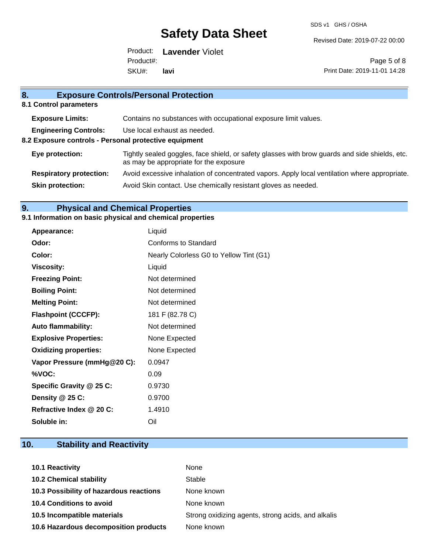SDS v1 GHS / OSHA

Revised Date: 2019-07-22 00:00

Product: **Lavender** Violet SKU#: Product#: **lavi**

Page 5 of 8 Print Date: 2019-11-01 14:28

### **8. Exposure Controls/Personal Protection 8.1 Control parameters Exposure Limits:** Contains no substances with occupational exposure limit values. **Engineering Controls:** Use local exhaust as needed. **8.2 Exposure controls - Personal protective equipment Eye protection:** Tightly sealed goggles, face shield, or safety glasses with brow guards and side shields, etc. as may be appropriate for the exposure **Respiratory protection:** Avoid excessive inhalation of concentrated vapors. Apply local ventilation where appropriate. **Skin protection:** Avoid Skin contact. Use chemically resistant gloves as needed.

### **9. Physical and Chemical Properties**

#### **9.1 Information on basic physical and chemical properties**

| Appearance:                  | Liquid                                  |
|------------------------------|-----------------------------------------|
| Odor:                        | Conforms to Standard                    |
| Color:                       | Nearly Colorless G0 to Yellow Tint (G1) |
| <b>Viscosity:</b>            | Liquid                                  |
| <b>Freezing Point:</b>       | Not determined                          |
| <b>Boiling Point:</b>        | Not determined                          |
| <b>Melting Point:</b>        | Not determined                          |
| <b>Flashpoint (CCCFP):</b>   | 181 F (82.78 C)                         |
| <b>Auto flammability:</b>    | Not determined                          |
| <b>Explosive Properties:</b> | None Expected                           |
| <b>Oxidizing properties:</b> | None Expected                           |
| Vapor Pressure (mmHg@20 C):  | 0.0947                                  |
| %VOC:                        | 0.09                                    |
| Specific Gravity @ 25 C:     | 0.9730                                  |
| Density @ 25 C:              | 0.9700                                  |
| Refractive Index @ 20 C:     | 1.4910                                  |
| Soluble in:                  | Oil                                     |

### **10. Stability and Reactivity**

| <b>10.1 Reactivity</b>                  | None                                               |
|-----------------------------------------|----------------------------------------------------|
| <b>10.2 Chemical stability</b>          | Stable                                             |
| 10.3 Possibility of hazardous reactions | None known                                         |
| <b>10.4 Conditions to avoid</b>         | None known                                         |
| 10.5 Incompatible materials             | Strong oxidizing agents, strong acids, and alkalis |
| 10.6 Hazardous decomposition products   | None known                                         |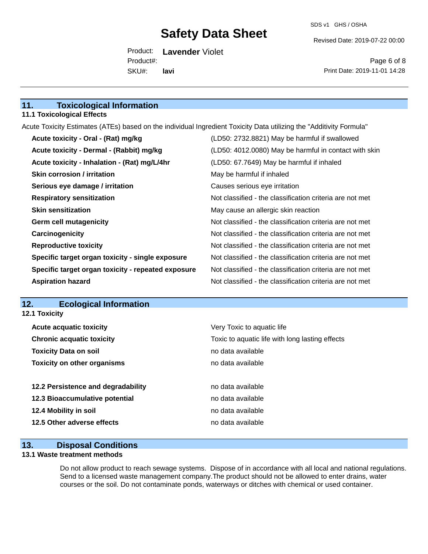Revised Date: 2019-07-22 00:00

Product: **Lavender** Violet SKU#: Product#: **lavi**

Page 6 of 8 Print Date: 2019-11-01 14:28

### **11. Toxicological Information**

#### **11.1 Toxicological Effects**

Acute Toxicity Estimates (ATEs) based on the individual Ingredient Toxicity Data utilizing the "Additivity Formula"

| Acute toxicity - Oral - (Rat) mg/kg                | (LD50: 2732.8821) May be harmful if swallowed            |
|----------------------------------------------------|----------------------------------------------------------|
| Acute toxicity - Dermal - (Rabbit) mg/kg           | (LD50: 4012.0080) May be harmful in contact with skin    |
| Acute toxicity - Inhalation - (Rat) mg/L/4hr       | (LD50: 67.7649) May be harmful if inhaled                |
| <b>Skin corrosion / irritation</b>                 | May be harmful if inhaled                                |
| Serious eye damage / irritation                    | Causes serious eye irritation                            |
| <b>Respiratory sensitization</b>                   | Not classified - the classification criteria are not met |
| <b>Skin sensitization</b>                          | May cause an allergic skin reaction                      |
| <b>Germ cell mutagenicity</b>                      | Not classified - the classification criteria are not met |
| Carcinogenicity                                    | Not classified - the classification criteria are not met |
| <b>Reproductive toxicity</b>                       | Not classified - the classification criteria are not met |
| Specific target organ toxicity - single exposure   | Not classified - the classification criteria are not met |
| Specific target organ toxicity - repeated exposure | Not classified - the classification criteria are not met |
| <b>Aspiration hazard</b>                           | Not classified - the classification criteria are not met |

#### **12. Ecological Information**

**12.1 Toxicity**

| <b>Acute acquatic toxicity</b>     | Very Toxic to aquatic life                      |
|------------------------------------|-------------------------------------------------|
| <b>Chronic acquatic toxicity</b>   | Toxic to aquatic life with long lasting effects |
| <b>Toxicity Data on soil</b>       | no data available                               |
| <b>Toxicity on other organisms</b> | no data available                               |
|                                    |                                                 |
| 12.2 Persistence and degradability | no data available                               |
| 12.3 Bioaccumulative potential     | no data available                               |
| 12.4 Mobility in soil              | no data available                               |
| 12.5 Other adverse effects         | no data available                               |
|                                    |                                                 |

### **13. Disposal Conditions**

#### **13.1 Waste treatment methods**

Do not allow product to reach sewage systems. Dispose of in accordance with all local and national regulations. Send to a licensed waste management company.The product should not be allowed to enter drains, water courses or the soil. Do not contaminate ponds, waterways or ditches with chemical or used container.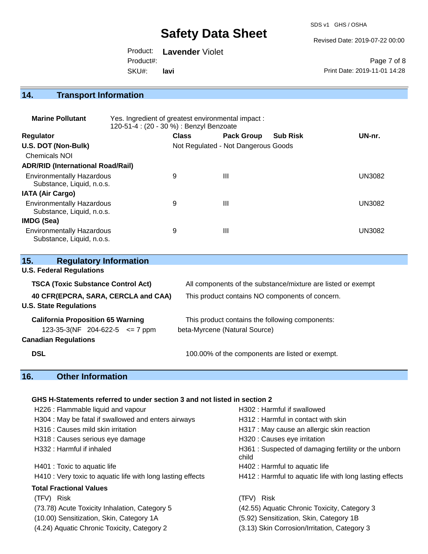SDS v1 GHS / OSHA

Revised Date: 2019-07-22 00:00

Product: **Lavender** Violet SKU#: Product#: **lavi**

Page 7 of 8 Print Date: 2019-11-01 14:28

## **14. Transport Information**

| <b>Marine Pollutant</b>                                       | Yes. Ingredient of greatest environmental impact:<br>120-51-4 : (20 - 30 %) : Benzyl Benzoate |                                     |                   |                 |               |
|---------------------------------------------------------------|-----------------------------------------------------------------------------------------------|-------------------------------------|-------------------|-----------------|---------------|
| <b>Regulator</b>                                              |                                                                                               | <b>Class</b>                        | <b>Pack Group</b> | <b>Sub Risk</b> | UN-nr.        |
| U.S. DOT (Non-Bulk)                                           |                                                                                               | Not Regulated - Not Dangerous Goods |                   |                 |               |
| <b>Chemicals NOI</b>                                          |                                                                                               |                                     |                   |                 |               |
| <b>ADR/RID (International Road/Rail)</b>                      |                                                                                               |                                     |                   |                 |               |
| <b>Environmentally Hazardous</b><br>Substance, Liquid, n.o.s. |                                                                                               | 9                                   | Ш                 |                 | <b>UN3082</b> |
| <b>IATA (Air Cargo)</b>                                       |                                                                                               |                                     |                   |                 |               |
| <b>Environmentally Hazardous</b><br>Substance, Liquid, n.o.s. |                                                                                               | 9                                   | Ш                 |                 | <b>UN3082</b> |
| IMDG (Sea)                                                    |                                                                                               |                                     |                   |                 |               |
| <b>Environmentally Hazardous</b><br>Substance, Liquid, n.o.s. |                                                                                               | 9                                   | Ш                 |                 | <b>UN3082</b> |

| 15.<br><b>Regulatory Information</b>                                                                          |                                                                                  |
|---------------------------------------------------------------------------------------------------------------|----------------------------------------------------------------------------------|
| <b>U.S. Federal Regulations</b>                                                                               |                                                                                  |
| <b>TSCA (Toxic Substance Control Act)</b>                                                                     | All components of the substance/mixture are listed or exempt                     |
| 40 CFR(EPCRA, SARA, CERCLA and CAA)<br><b>U.S. State Regulations</b>                                          | This product contains NO components of concern.                                  |
| <b>California Proposition 65 Warning</b><br>123-35-3(NF 204-622-5 $\leq$ 7 ppm<br><b>Canadian Regulations</b> | This product contains the following components:<br>beta-Myrcene (Natural Source) |
| <b>DSL</b>                                                                                                    | 100.00% of the components are listed or exempt.                                  |

### **16. Other Information**

#### **GHS H-Statements referred to under section 3 and not listed in section 2**

| H226 : Flammable liquid and vapour                          | H302 : Harmful if swallowed                                  |
|-------------------------------------------------------------|--------------------------------------------------------------|
| H304 : May be fatal if swallowed and enters airways         | H312 : Harmful in contact with skin                          |
| H316 : Causes mild skin irritation                          | H317 : May cause an allergic skin reaction                   |
| H318 : Causes serious eye damage                            | H320 : Causes eye irritation                                 |
| H332 : Harmful if inhaled                                   | H361: Suspected of damaging fertility or the unborn<br>child |
| H401 : Toxic to aquatic life                                | H402 : Harmful to aquatic life                               |
| H410 : Very toxic to aquatic life with long lasting effects | H412 : Harmful to aquatic life with long lasting effects     |
| <b>Total Fractional Values</b>                              |                                                              |
| (TFV) Risk                                                  | <b>Risk</b><br>(TFV) -                                       |
| (73.78) Acute Toxicity Inhalation, Category 5               | (42.55) Aquatic Chronic Toxicity, Category 3                 |
| (10.00) Sensitization, Skin, Category 1A                    | (5.92) Sensitization, Skin, Category 1B                      |
| (4.24) Aquatic Chronic Toxicity, Category 2                 | (3.13) Skin Corrosion/Irritation, Category 3                 |
|                                                             |                                                              |